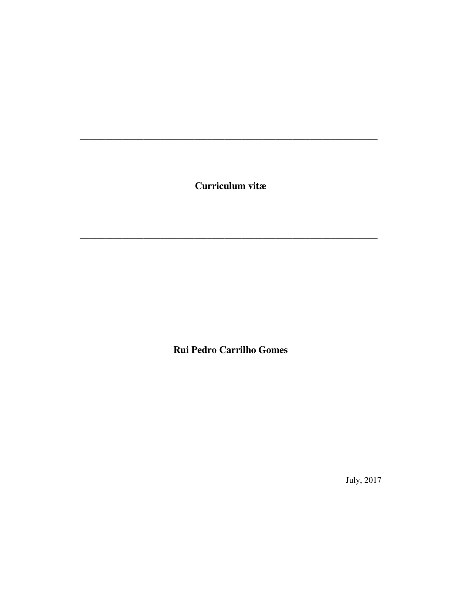Curriculum vitæ

**Rui Pedro Carrilho Gomes** 

July, 2017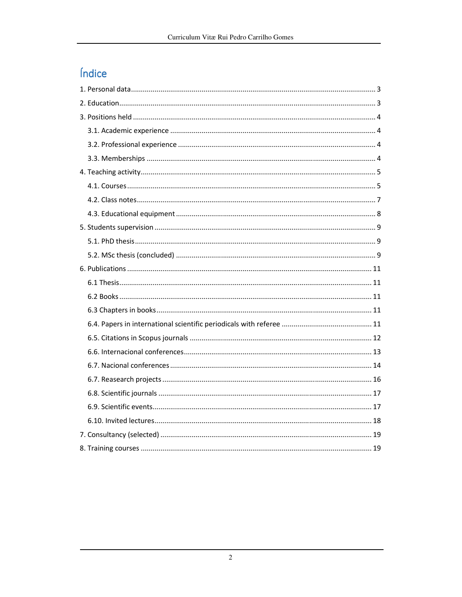# Índice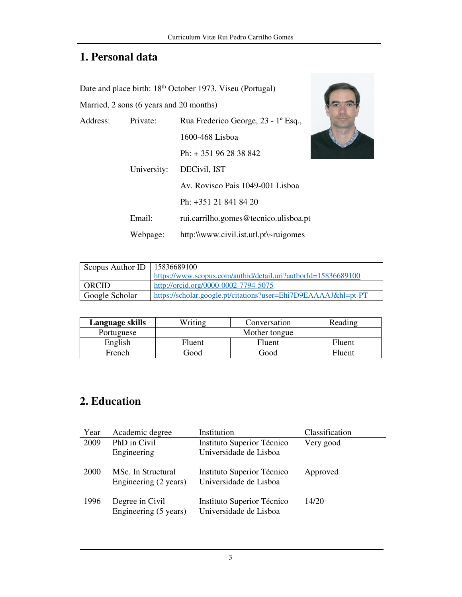# **1. Personal data**

Date and place birth: 18<sup>th</sup> October 1973, Viseu (Portugal)

Married, 2 sons (6 years and 20 months)

| Address: | Private:    | Rua Frederico George, 23 - 1º Esq.,   |
|----------|-------------|---------------------------------------|
|          |             | 1600-468 Lisboa                       |
|          |             | Ph: $+351962838842$                   |
|          | University: | DECivil, IST                          |
|          |             | Av. Rovisco Pais 1049-001 Lisboa      |
|          |             | Ph: +351 21 841 84 20                 |
|          | Email:      | rui.carrilho.gomes@tecnico.ulisboa.pt |
|          | Webpage:    | http:\\www.civil.ist.utl.pt\~ruigomes |



| Scopus Author ID   $15836689100$ |                                                                |
|----------------------------------|----------------------------------------------------------------|
|                                  | https://www.scopus.com/authid/detail.uri?authorId=15836689100  |
| ORCID                            | http://orcid.org/0000-0002-7794-5075                           |
| Google Scholar                   | https://scholar.google.pt/citations?user=Ehi7D9EAAAAJ&hl=pt-PT |

| Language skills | Writing<br>Conversation |        | Reading       |
|-----------------|-------------------------|--------|---------------|
| Portuguese      | Mother tongue           |        |               |
| English         | Fluent                  | Fluent | <b>Fluent</b> |
| French          | Good                    | Good   | Fluent        |

# **2. Education**

| Year        | Academic degree                             | Institution                                          | Classification |
|-------------|---------------------------------------------|------------------------------------------------------|----------------|
| 2009        | PhD in Civil<br>Engineering                 | Instituto Superior Técnico<br>Universidade de Lisboa | Very good      |
| <b>2000</b> | MSc. In Structural<br>Engineering (2 years) | Instituto Superior Técnico<br>Universidade de Lisboa | Approved       |
| 1996        | Degree in Civil<br>Engineering (5 years)    | Instituto Superior Técnico<br>Universidade de Lisboa | 14/20          |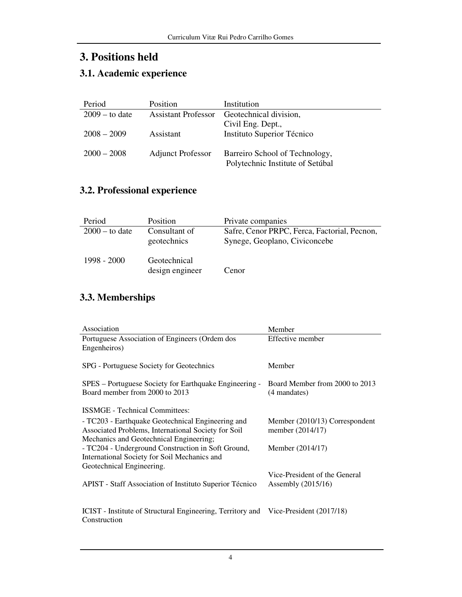# **3. Positions held**

# **3.1. Academic experience**

| Period           | Position                   | Institution                      |
|------------------|----------------------------|----------------------------------|
| $2009 -$ to date | <b>Assistant Professor</b> | Geotechnical division,           |
|                  |                            | Civil Eng. Dept.,                |
| $2008 - 2009$    | Assistant                  | Instituto Superior Técnico       |
|                  |                            |                                  |
| $2000 - 2008$    | <b>Adjunct Professor</b>   | Barreiro School of Technology,   |
|                  |                            | Polytechnic Institute of Setúbal |

## **3.2. Professional experience**

| Period           | Position                        | Private companies                                                             |
|------------------|---------------------------------|-------------------------------------------------------------------------------|
| $2000 -$ to date | Consultant of<br>geotechnics    | Safre, Cenor PRPC, Ferca, Factorial, Pecnon,<br>Synege, Geoplano, Civiconcebe |
| 1998 - 2000      | Geotechnical<br>design engineer | Cenor                                                                         |

## **3.3. Memberships**

| Association                                                                              | Member                                         |
|------------------------------------------------------------------------------------------|------------------------------------------------|
| Portuguese Association of Engineers (Ordem dos                                           | Effective member                               |
| Engenheiros)                                                                             |                                                |
|                                                                                          |                                                |
| SPG - Portuguese Society for Geotechnics                                                 | Member                                         |
|                                                                                          |                                                |
| SPES – Portuguese Society for Earthquake Engineering -<br>Board member from 2000 to 2013 | Board Member from 2000 to 2013<br>(4 mandates) |
|                                                                                          |                                                |
| <b>ISSMGE</b> - Technical Committees:                                                    |                                                |
| - TC203 - Earthquake Geotechnical Engineering and                                        | Member (2010/13) Correspondent                 |
| Associated Problems, International Society for Soil                                      | member (2014/17)                               |
| Mechanics and Geotechnical Engineering;                                                  |                                                |
| - TC204 - Underground Construction in Soft Ground,                                       | Member (2014/17)                               |
| International Society for Soil Mechanics and                                             |                                                |
| Geotechnical Engineering.                                                                |                                                |
|                                                                                          | Vice-President of the General                  |
| APIST - Staff Association of Instituto Superior Técnico                                  | Assembly $(2015/16)$                           |
|                                                                                          |                                                |
| ICIST - Institute of Structural Engineering, Territory and Vice-President (2017/18)      |                                                |
| Construction                                                                             |                                                |
|                                                                                          |                                                |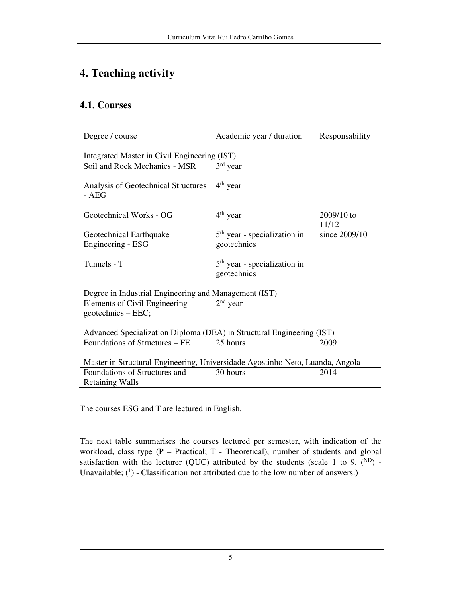# **4. Teaching activity**

### **4.1. Courses**

| Degree / course                                                               | Academic year / duration                                | Responsability |  |  |  |  |  |
|-------------------------------------------------------------------------------|---------------------------------------------------------|----------------|--|--|--|--|--|
| Integrated Master in Civil Engineering (IST)                                  |                                                         |                |  |  |  |  |  |
| Soil and Rock Mechanics - MSR                                                 | $3rd$ year                                              |                |  |  |  |  |  |
| Analysis of Geotechnical Structures<br>- AEG                                  | $4th$ year                                              |                |  |  |  |  |  |
| Geotechnical Works - OG                                                       | $4th$ year                                              | $2009/10$ to   |  |  |  |  |  |
|                                                                               |                                                         | 11/12          |  |  |  |  |  |
| Geotechnical Earthquake                                                       | $5th$ year - specialization in                          | since 2009/10  |  |  |  |  |  |
| Engineering - ESG                                                             | geotechnics                                             |                |  |  |  |  |  |
|                                                                               |                                                         |                |  |  |  |  |  |
| Tunnels - T                                                                   | 5 <sup>th</sup> year - specialization in<br>geotechnics |                |  |  |  |  |  |
|                                                                               |                                                         |                |  |  |  |  |  |
| Degree in Industrial Engineering and Management (IST)                         |                                                         |                |  |  |  |  |  |
| Elements of Civil Engineering –                                               | $2nd$ year                                              |                |  |  |  |  |  |
| geotechnics - EEC;                                                            |                                                         |                |  |  |  |  |  |
|                                                                               |                                                         |                |  |  |  |  |  |
| Advanced Specialization Diploma (DEA) in Structural Engineering (IST)         |                                                         |                |  |  |  |  |  |
| Foundations of Structures – FE                                                | 25 hours                                                | 2009           |  |  |  |  |  |
|                                                                               |                                                         |                |  |  |  |  |  |
| Master in Structural Engineering, Universidade Agostinho Neto, Luanda, Angola |                                                         |                |  |  |  |  |  |
| Foundations of Structures and                                                 | 30 hours                                                | 2014           |  |  |  |  |  |
| <b>Retaining Walls</b>                                                        |                                                         |                |  |  |  |  |  |

The courses ESG and T are lectured in English.

The next table summarises the courses lectured per semester, with indication of the workload, class type (P – Practical; T - Theoretical), number of students and global satisfaction with the lecturer (QUC) attributed by the students (scale 1 to 9,  $(^{ND})$  -Unavailable;  $(1)$  - Classification not attributed due to the low number of answers.)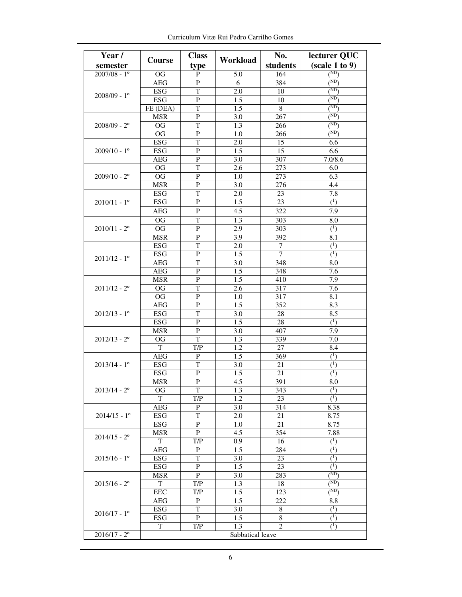| Year/                 |                           | <b>Class</b>   | Workload         | No.            | lecturer QUC                             |
|-----------------------|---------------------------|----------------|------------------|----------------|------------------------------------------|
| semester              | Course                    | type           |                  | students       | (scale 1 to 9)                           |
| $2007/08 - 1^{\circ}$ | <b>OG</b>                 | P              | 5.0              | 164            | (ND)                                     |
|                       | <b>AEG</b>                | $\mathbf{P}$   | 6                | 384            | $\overline{\overline{\mathrm{ND}}}$      |
| $2008/09 - 1$ °       | <b>ESG</b>                | T              | 2.0              | 10             | $\binom{ND}{ }$                          |
|                       | <b>ESG</b>                | ${\bf P}$      | 1.5              | 10             | $\overline{\overline{\text{N}}\text{D}}$ |
|                       | FE (DEA)                  | $\overline{T}$ | $\overline{1.5}$ | 8              | $\overline{\text{ND}}$                   |
|                       | <b>MSR</b>                | ${\bf P}$      | 3.0              | 267            | $(^{ND})$                                |
| $2008/09 - 2^{\circ}$ | <b>OG</b>                 | T              | $\overline{1.3}$ | 266            | (ND)                                     |
|                       | $\overline{\text{OG}}$    | ${\bf P}$      | 1.0              | 266            | $(^{ND})$                                |
|                       | <b>ESG</b>                | T              | 2.0              | 15             | 6.6                                      |
| $2009/10 - 1$ °       | <b>ESG</b>                | ${\bf P}$      | 1.5              | 15             | 6.6                                      |
|                       | <b>AEG</b>                | ${\bf P}$      | 3.0              | 307            | 7.0/8.6                                  |
|                       | OG                        | $\mathbf T$    | 2.6              | 273            | 6.0                                      |
| $2009/10 - 2^{\circ}$ | <b>OG</b>                 | ${\bf P}$      | 1.0              | 273            | 6.3                                      |
|                       | <b>MSR</b>                | ${\bf P}$      | 3.0              | 276            | 4.4                                      |
|                       | <b>ESG</b>                | T              | 2.0              | 23             | 7.8                                      |
| $2010/11 - 1^{\circ}$ | <b>ESG</b>                | ${\bf P}$      | 1.5              | 23             | $\overline{(^1)}$                        |
|                       | <b>AEG</b>                | ${\bf P}$      | 4.5              | 322            | 7.9                                      |
|                       | OG                        | T              | 1.3              | 303            | 8.0                                      |
| $2010/11 - 2^{\circ}$ | OG                        | ${\bf P}$      | 2.9              | 303            | $\overline{(^1)}$                        |
|                       | <b>MSR</b>                | $\mathbf{P}$   | 3.9              | 392            | 8.1                                      |
|                       | <b>ESG</b>                | T              | 2.0              | 7              | $(^{1})$                                 |
| $2011/12 - 1$ °       | <b>ESG</b>                | ${\bf P}$      | 1.5              | 7              | $(^{1})$                                 |
|                       | AEG                       | T              | 3.0              | 348            | 8.0                                      |
|                       | AEG                       | $\overline{P}$ | $\overline{1.5}$ | 348            | 7.6                                      |
|                       | <b>MSR</b>                | ${\bf P}$      | $\overline{1.5}$ | 410            | 7.9                                      |
| $2011/12 - 2^{\circ}$ | <b>OG</b>                 | $\mathbf T$    | 2.6              | 317            | 7.6                                      |
|                       | OG                        | ${\bf P}$      | 1.0              | 317            | 8.1                                      |
|                       | <b>AEG</b>                | ${\bf P}$      | 1.5              | 352            | 8.3                                      |
| $2012/13 - 1^{\circ}$ | <b>ESG</b>                | T              | 3.0              | 28             | 8.5                                      |
|                       | ESG                       | ${\bf P}$      | 1.5              | 28             | (1)                                      |
|                       | <b>MSR</b>                | ${\bf P}$      | 3.0              | 407            | 7.9                                      |
| $2012/13 - 2^{\circ}$ | <b>OG</b>                 | T              | 1.3              | 339            | 7.0                                      |
|                       | T                         | T/P            | 1.2              | 27             | 8.4                                      |
|                       | <b>AEG</b>                | ${\bf P}$      | 1.5              | 369            | $(^{1})$                                 |
| $2013/14 - 1^{\circ}$ | <b>ESG</b>                | T              | 3.0              | 21             | $(^{1})$                                 |
|                       | <b>ESG</b>                | ${\bf P}$      | 1.5              | 21             | $\overline{(^1)}$                        |
|                       | <b>MSR</b>                | ${\bf P}$      | 4.5              | 391            | 8.0                                      |
| $2013/14 - 2^{\circ}$ | OG                        | Т              | 1.3              | 343            | $^{(1)}$                                 |
|                       | T                         | T/P            | 1.2              | 23             | (1)                                      |
|                       | <b>AEG</b>                | P              | 3.0              | 314            | 8.38                                     |
| $2014/15 - 1^{\circ}$ | <b>ESG</b>                | T              | 2.0              | 21             | 8.75                                     |
|                       | <b>ESG</b>                | P              | 1.0              | 21             | 8.75                                     |
| $2014/15 - 2^{\circ}$ | MSR                       | $\mathbf P$    | 4.5              | 354            | 7.88                                     |
|                       | $\mathbf T$               | T/P            | 0.9              | 16             | $(^{1})$                                 |
|                       | AEG                       | P              | 1.5              | 284            | $(^{1})$                                 |
| $2015/16 - 1^{\circ}$ | ESG                       | T              | 3.0              | 23             | $(^{1})$                                 |
|                       | ESG                       | P              | 1.5              | 23             | $(^{1})$<br>$\binom{ND}{ }$              |
|                       | <b>MSR</b><br>$\mathbf T$ | $\mathbf P$    | 3.0              | 283            | $\binom{ND}{ }$                          |
| $2015/16 - 2^{\circ}$ |                           | T/P            | 1.3              | 18             | $\binom{\text{ND}}{}$                    |
|                       | <b>EEC</b>                | T/P            | 1.5              | 123            |                                          |
|                       | <b>AEG</b><br><b>ESG</b>  | P<br>T         | 1.5              | 222            | 8.8                                      |
| $2016/17 - 1$ °       | ESG                       | P              | 3.0<br>1.5       | 8<br>8         | (1)                                      |
|                       | T                         | T/P            | 1.3              | $\overline{c}$ | (1)<br>$(^{1})$                          |
| $2016/17 - 2^{\circ}$ |                           |                |                  |                |                                          |
|                       | Sabbatical leave          |                |                  |                |                                          |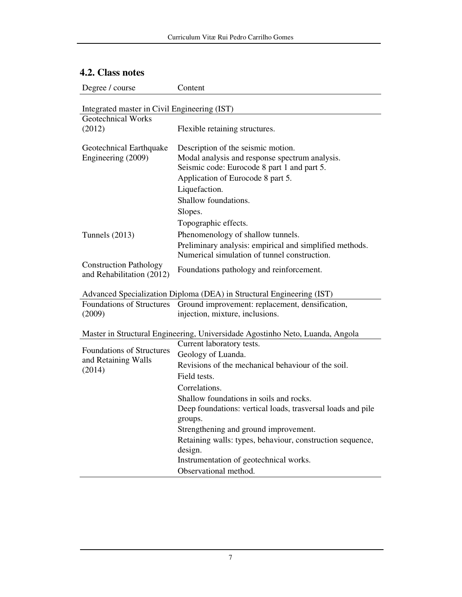## **4.2. Class notes**

| Degree / course                                               | Content                                                                       |  |  |  |  |  |
|---------------------------------------------------------------|-------------------------------------------------------------------------------|--|--|--|--|--|
| Integrated master in Civil Engineering (IST)                  |                                                                               |  |  |  |  |  |
| <b>Geotechnical Works</b>                                     |                                                                               |  |  |  |  |  |
| (2012)                                                        | Flexible retaining structures.                                                |  |  |  |  |  |
| Description of the seismic motion.<br>Geotechnical Earthquake |                                                                               |  |  |  |  |  |
| Engineering (2009)                                            | Modal analysis and response spectrum analysis.                                |  |  |  |  |  |
|                                                               | Seismic code: Eurocode 8 part 1 and part 5.                                   |  |  |  |  |  |
|                                                               | Application of Eurocode 8 part 5.                                             |  |  |  |  |  |
|                                                               | Liquefaction.                                                                 |  |  |  |  |  |
|                                                               | Shallow foundations.                                                          |  |  |  |  |  |
|                                                               | Slopes.                                                                       |  |  |  |  |  |
|                                                               | Topographic effects.                                                          |  |  |  |  |  |
| Tunnels $(2013)$                                              | Phenomenology of shallow tunnels.                                             |  |  |  |  |  |
|                                                               | Preliminary analysis: empirical and simplified methods.                       |  |  |  |  |  |
|                                                               | Numerical simulation of tunnel construction.                                  |  |  |  |  |  |
| <b>Construction Pathology</b><br>and Rehabilitation (2012)    | Foundations pathology and reinforcement.                                      |  |  |  |  |  |
|                                                               | Advanced Specialization Diploma (DEA) in Structural Engineering (IST)         |  |  |  |  |  |
| <b>Foundations of Structures</b>                              | Ground improvement: replacement, densification,                               |  |  |  |  |  |
| (2009)                                                        | injection, mixture, inclusions.                                               |  |  |  |  |  |
|                                                               | Master in Structural Engineering, Universidade Agostinho Neto, Luanda, Angola |  |  |  |  |  |
| <b>Foundations of Structures</b>                              | Current laboratory tests.                                                     |  |  |  |  |  |
|                                                               | Geology of Luanda.                                                            |  |  |  |  |  |
| and Retaining Walls<br>(2014)                                 | Revisions of the mechanical behaviour of the soil.                            |  |  |  |  |  |
|                                                               | Field tests.                                                                  |  |  |  |  |  |
|                                                               | Correlations.                                                                 |  |  |  |  |  |
|                                                               | Shallow foundations in soils and rocks.                                       |  |  |  |  |  |
|                                                               | Deep foundations: vertical loads, trasversal loads and pile                   |  |  |  |  |  |
|                                                               | groups.                                                                       |  |  |  |  |  |
|                                                               | Strengthening and ground improvement.                                         |  |  |  |  |  |
|                                                               | Retaining walls: types, behaviour, construction sequence,<br>design.          |  |  |  |  |  |
|                                                               | Instrumentation of geotechnical works.                                        |  |  |  |  |  |
|                                                               | Observational method.                                                         |  |  |  |  |  |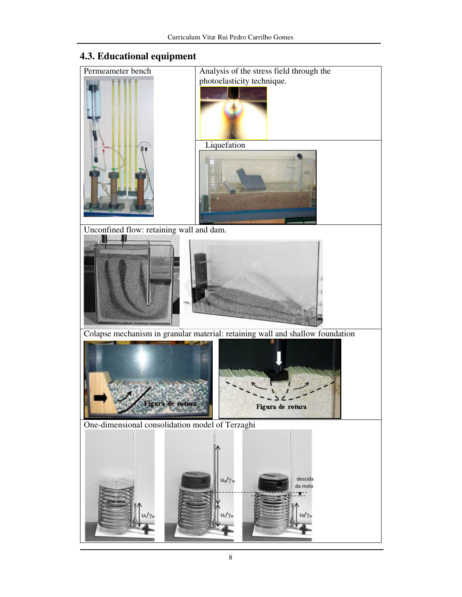# Permeameter bench Analysis of the stress field through the photoelasticity technique. Liquefation Unconfined flow: retaining wall and dam. Colapse mechanism in granular material: retaining wall and shallow foundation  $-26 -$ Figura de rotura Figura de rotura  $\overline{\phantom{a}}$ One-dimensional consolidation model of Terzaghi  $u_e/\gamma_w$ descida da mola

#### **4.3. Educational equipment**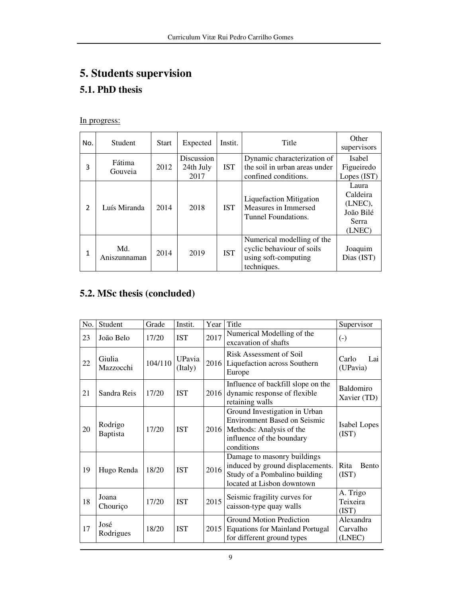# **5. Students supervision**

# **5.1. PhD thesis**

In progress:

| No.            | Student             | <b>Start</b> | Expected                        | Instit.    | Title                                                                                          | Other<br>supervisors                                         |
|----------------|---------------------|--------------|---------------------------------|------------|------------------------------------------------------------------------------------------------|--------------------------------------------------------------|
| 3              | Fátima<br>Gouveia   | 2012         | Discussion<br>24th July<br>2017 | <b>IST</b> | Dynamic characterization of<br>the soil in urban areas under<br>confined conditions.           | Isabel<br>Figueiredo<br>Lopes (IST)                          |
| $\overline{2}$ | Luís Miranda        | 2014         | 2018                            | <b>IST</b> | <b>Liquefaction Mitigation</b><br>Measures in Immersed<br>Tunnel Foundations.                  | Laura<br>Caldeira<br>(LNEC),<br>João Bilé<br>Serra<br>(LNEC) |
| 1              | Md.<br>Aniszunnaman | 2014         | 2019                            | <b>IST</b> | Numerical modelling of the<br>cyclic behaviour of soils<br>using soft-computing<br>techniques. | Joaquim<br>Dias (IST)                                        |

## **5.2. MSc thesis (concluded)**

| No. | Student             | Grade   | Instit.                  | Year | Title                                                                                                                                       | Supervisor                      |
|-----|---------------------|---------|--------------------------|------|---------------------------------------------------------------------------------------------------------------------------------------------|---------------------------------|
| 23  | João Belo           | 17/20   | <b>IST</b>               | 2017 | Numerical Modelling of the<br>excavation of shafts                                                                                          | $\left( -\right)$               |
| 22  | Giulia<br>Mazzocchi | 104/110 | <b>UPavia</b><br>(Italy) | 2016 | Risk Assessment of Soil<br>Liquefaction across Southern<br>Europe                                                                           | Carlo<br>Lai<br>(UPavia)        |
| 21  | Sandra Reis         | 17/20   | <b>IST</b>               | 2016 | Influence of backfill slope on the<br>dynamic response of flexible<br>retaining walls                                                       | Baldomiro<br>Xavier (TD)        |
| 20  | Rodrigo<br>Baptista | 17/20   | <b>IST</b>               | 2016 | Ground Investigation in Urban<br><b>Environment Based on Seismic</b><br>Methods: Analysis of the<br>influence of the boundary<br>conditions | Isabel Lopes<br>(IST)           |
| 19  | Hugo Renda          | 18/20   | <b>IST</b>               | 2016 | Damage to masonry buildings<br>induced by ground displacements.<br>Study of a Pombalino building<br>located at Lisbon downtown              | Rita<br><b>Bento</b><br>(IST)   |
| 18  | Joana<br>Chouriço   | 17/20   | <b>IST</b>               | 2015 | Seismic fragility curves for<br>caisson-type quay walls                                                                                     | A. Trigo<br>Teixeira<br>(IST)   |
| 17  | José<br>Rodrigues   | 18/20   | <b>IST</b>               | 2015 | <b>Ground Motion Prediction</b><br><b>Equations for Mainland Portugal</b><br>for different ground types                                     | Alexandra<br>Carvalho<br>(LNEC) |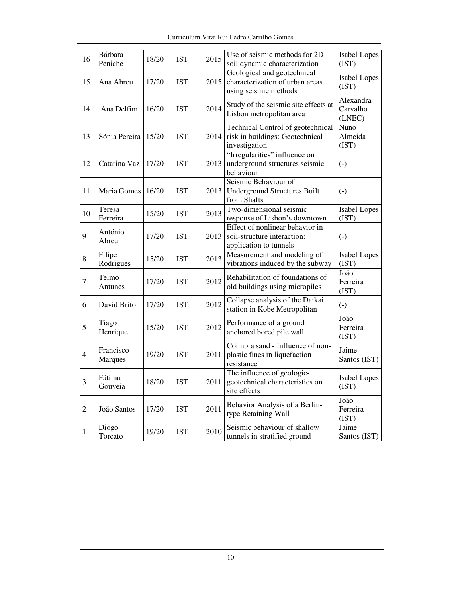Curriculum Vitæ Rui Pedro Carrilho Gomes

| 16             | Bárbara<br>Peniche   | 18/20 | <b>IST</b> | 2015 | Use of seismic methods for 2D<br>soil dynamic characterization                           | Isabel Lopes<br>(IST)           |
|----------------|----------------------|-------|------------|------|------------------------------------------------------------------------------------------|---------------------------------|
| 15             | Ana Abreu            | 17/20 | <b>IST</b> | 2015 | Geological and geotechnical<br>characterization of urban areas<br>using seismic methods  | Isabel Lopes<br>(IST)           |
| 14             | Ana Delfim           | 16/20 | <b>IST</b> | 2014 | Study of the seismic site effects at<br>Lisbon metropolitan area                         | Alexandra<br>Carvalho<br>(LNEC) |
| 13             | Sónia Pereira        | 15/20 | <b>IST</b> | 2014 | Technical Control of geotechnical<br>risk in buildings: Geotechnical<br>investigation    | Nuno<br>Almeida<br>(IST)        |
| 12             | Catarina Vaz         | 17/20 | <b>IST</b> | 2013 | "Irregularities" influence on<br>underground structures seismic<br>behaviour             | $(-)$                           |
| 11             | Maria Gomes          | 16/20 | <b>IST</b> | 2013 | Seismic Behaviour of<br><b>Underground Structures Built</b><br>from Shafts               | $(-)$                           |
| 10             | Teresa<br>Ferreira   | 15/20 | <b>IST</b> | 2013 | Two-dimensional seismic<br>response of Lisbon's downtown                                 | Isabel Lopes<br>(IST)           |
| 9              | António<br>Abreu     | 17/20 | <b>IST</b> | 2013 | Effect of nonlinear behavior in<br>soil-structure interaction:<br>application to tunnels | $(-)$                           |
| $\,8\,$        | Filipe<br>Rodrigues  | 15/20 | <b>IST</b> | 2013 | Measurement and modeling of<br>vibrations induced by the subway                          | Isabel Lopes<br>(IST)           |
| $\overline{7}$ | Telmo<br>Antunes     | 17/20 | <b>IST</b> | 2012 | Rehabilitation of foundations of<br>old buildings using micropiles                       | João<br>Ferreira<br>(IST)       |
| 6              | David Brito          | 17/20 | <b>IST</b> | 2012 | Collapse analysis of the Daikai<br>station in Kobe Metropolitan                          | $(-)$                           |
| 5              | Tiago<br>Henrique    | 15/20 | <b>IST</b> | 2012 | Performance of a ground<br>anchored bored pile wall                                      | João<br>Ferreira<br>(IST)       |
| $\overline{4}$ | Francisco<br>Marques | 19/20 | <b>IST</b> | 2011 | Coimbra sand - Influence of non-<br>plastic fines in liquefaction<br>resistance          | Jaime<br>Santos (IST)           |
| 3              | Fátima<br>Gouveia    | 18/20 | <b>IST</b> | 2011 | The influence of geologic-<br>geotechnical characteristics on<br>site effects            | Isabel Lopes<br>(IST)           |
| $\overline{2}$ | João Santos          | 17/20 | <b>IST</b> | 2011 | Behavior Analysis of a Berlin-<br>type Retaining Wall                                    | João<br>Ferreira<br>(IST)       |
| $\mathbf{1}$   | Diogo<br>Torcato     | 19/20 | <b>IST</b> | 2010 | Seismic behaviour of shallow<br>tunnels in stratified ground                             | Jaime<br>Santos (IST)           |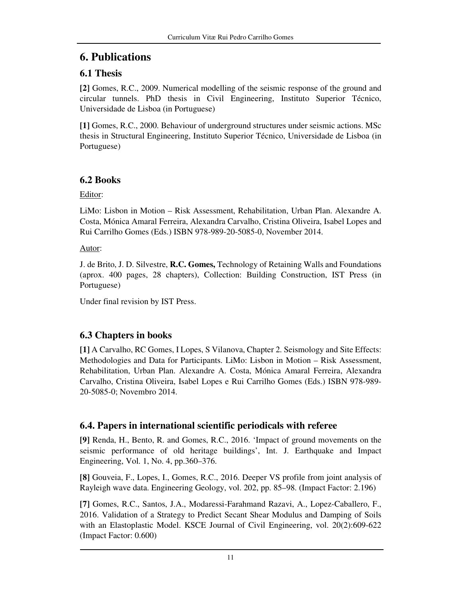# **6. Publications**

## **6.1 Thesis**

**[2]** Gomes, R.C., 2009. Numerical modelling of the seismic response of the ground and circular tunnels. PhD thesis in Civil Engineering, Instituto Superior Técnico, Universidade de Lisboa (in Portuguese)

**[1]** Gomes, R.C., 2000. Behaviour of underground structures under seismic actions. MSc thesis in Structural Engineering, Instituto Superior Técnico, Universidade de Lisboa (in Portuguese)

# **6.2 Books**

Editor:

LiMo: Lisbon in Motion – Risk Assessment, Rehabilitation, Urban Plan. Alexandre A. Costa, Mónica Amaral Ferreira, Alexandra Carvalho, Cristina Oliveira, Isabel Lopes and Rui Carrilho Gomes (Eds.) ISBN 978-989-20-5085-0, November 2014.

Autor:

J. de Brito, J. D. Silvestre, **R.C. Gomes,** Technology of Retaining Walls and Foundations (aprox. 400 pages, 28 chapters), Collection: Building Construction, IST Press (in Portuguese)

Under final revision by IST Press.

# **6.3 Chapters in books**

**[1]** A Carvalho, RC Gomes, I Lopes, S Vilanova, Chapter 2. Seismology and Site Effects: Methodologies and Data for Participants. LiMo: Lisbon in Motion – Risk Assessment, Rehabilitation, Urban Plan. Alexandre A. Costa, Mónica Amaral Ferreira, Alexandra Carvalho, Cristina Oliveira, Isabel Lopes e Rui Carrilho Gomes (Eds.) ISBN 978-989- 20-5085-0; Novembro 2014.

# **6.4. Papers in international scientific periodicals with referee**

**[9]** Renda, H., Bento, R. and Gomes, R.C., 2016. 'Impact of ground movements on the seismic performance of old heritage buildings', Int. J. Earthquake and Impact Engineering, Vol. 1, No. 4, pp.360–376.

**[8]** Gouveia, F., Lopes, I., Gomes, R.C., 2016. Deeper VS profile from joint analysis of Rayleigh wave data. Engineering Geology, vol. 202, pp. 85–98. (Impact Factor: 2.196)

**[7]** Gomes, R.C., Santos, J.A., Modaressi-Farahmand Razavi, A., Lopez-Caballero, F., 2016. Validation of a Strategy to Predict Secant Shear Modulus and Damping of Soils with an Elastoplastic Model. KSCE Journal of Civil Engineering, vol. 20(2):609-622 (Impact Factor: 0.600)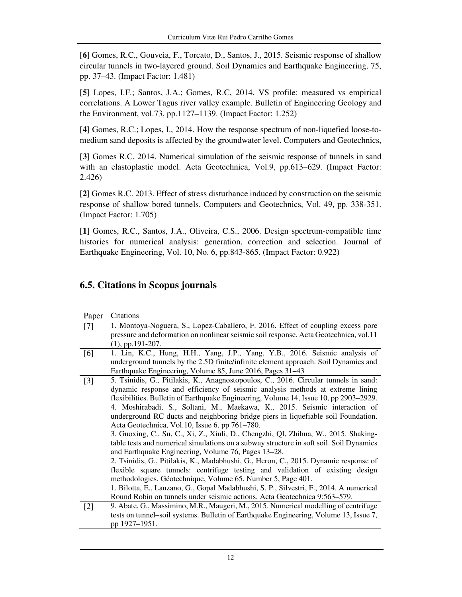**[6]** Gomes, R.C., Gouveia, F., Torcato, D., Santos, J., 2015. Seismic response of shallow circular tunnels in two-layered ground. Soil Dynamics and Earthquake Engineering, 75, pp. 37–43. (Impact Factor: 1.481)

**[5]** Lopes, I.F.; Santos, J.A.; Gomes, R.C, 2014. VS profile: measured vs empirical correlations. A Lower Tagus river valley example. Bulletin of Engineering Geology and the Environment, vol.73, pp.1127–1139. (Impact Factor: 1.252)

**[4]** Gomes, R.C.; Lopes, I., 2014. How the response spectrum of non-liquefied loose-tomedium sand deposits is affected by the groundwater level. Computers and Geotechnics,

**[3]** Gomes R.C. 2014. Numerical simulation of the seismic response of tunnels in sand with an elastoplastic model. Acta Geotechnica, Vol.9, pp.613–629. (Impact Factor: 2.426)

**[2]** Gomes R.C. 2013. Effect of stress disturbance induced by construction on the seismic response of shallow bored tunnels. Computers and Geotechnics, Vol. 49, pp. 338-351. (Impact Factor: 1.705)

**[1]** Gomes, R.C., Santos, J.A., Oliveira, C.S., 2006. Design spectrum-compatible time histories for numerical analysis: generation, correction and selection. Journal of Earthquake Engineering, Vol. 10, No. 6, pp.843-865. (Impact Factor: 0.922)

## **6.5. Citations in Scopus journals**

| Paper | Citations                                                                               |  |  |  |  |  |
|-------|-----------------------------------------------------------------------------------------|--|--|--|--|--|
| $[7]$ | 1. Montoya-Noguera, S., Lopez-Caballero, F. 2016. Effect of coupling excess pore        |  |  |  |  |  |
|       | pressure and deformation on nonlinear seismic soil response. Acta Geotechnica, vol.11   |  |  |  |  |  |
|       | $(1)$ , pp.191-207.                                                                     |  |  |  |  |  |
| [6]   | 1. Lin, K.C., Hung, H.H., Yang, J.P., Yang, Y.B., 2016. Seismic analysis of             |  |  |  |  |  |
|       | underground tunnels by the 2.5D finite/infinite element approach. Soil Dynamics and     |  |  |  |  |  |
|       | Earthquake Engineering, Volume 85, June 2016, Pages 31–43                               |  |  |  |  |  |
| [3]   | 5. Tsinidis, G., Pitilakis, K., Anagnostopoulos, C., 2016. Circular tunnels in sand:    |  |  |  |  |  |
|       | dynamic response and efficiency of seismic analysis methods at extreme lining           |  |  |  |  |  |
|       | flexibilities. Bulletin of Earthquake Engineering, Volume 14, Issue 10, pp 2903–2929.   |  |  |  |  |  |
|       | 4. Moshirabadi, S., Soltani, M., Maekawa, K., 2015. Seismic interaction of              |  |  |  |  |  |
|       | underground RC ducts and neighboring bridge piers in liquefiable soil Foundation.       |  |  |  |  |  |
|       | Acta Geotechnica, Vol.10, Issue 6, pp 761-780.                                          |  |  |  |  |  |
|       | 3. Guoxing, C., Su, C., Xi, Z., Xiuli, D., Chengzhi, QI, Zhihua, W., 2015. Shaking-     |  |  |  |  |  |
|       | table tests and numerical simulations on a subway structure in soft soil. Soil Dynamics |  |  |  |  |  |
|       | and Earthquake Engineering, Volume 76, Pages 13–28.                                     |  |  |  |  |  |
|       | 2. Tsinidis, G., Pitilakis, K., Madabhushi, G., Heron, C., 2015. Dynamic response of    |  |  |  |  |  |
|       | flexible square tunnels: centrifuge testing and validation of existing design           |  |  |  |  |  |
|       | methodologies. Géotechnique, Volume 65, Number 5, Page 401.                             |  |  |  |  |  |
|       | 1. Bilotta, E., Lanzano, G., Gopal Madabhushi, S. P., Silvestri, F., 2014. A numerical  |  |  |  |  |  |
|       | Round Robin on tunnels under seismic actions. Acta Geotechnica 9:563–579.               |  |  |  |  |  |
| [2]   | 9. Abate, G., Massimino, M.R., Maugeri, M., 2015. Numerical modelling of centrifuge     |  |  |  |  |  |
|       | tests on tunnel-soil systems. Bulletin of Earthquake Engineering, Volume 13, Issue 7,   |  |  |  |  |  |
|       | pp 1927–1951.                                                                           |  |  |  |  |  |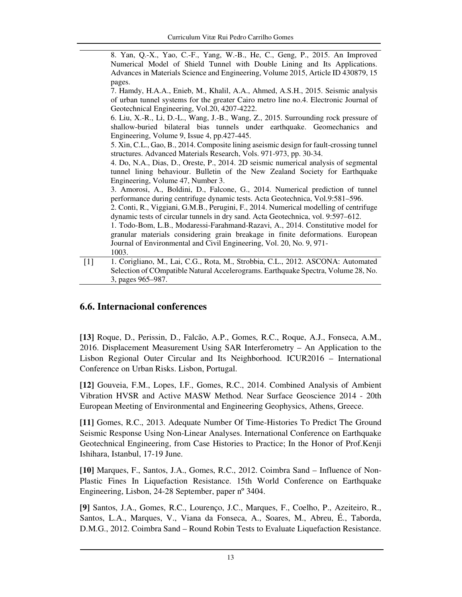|       | 8. Yan, Q.-X., Yao, C.-F., Yang, W.-B., He, C., Geng, P., 2015. An Improved<br>Numerical Model of Shield Tunnel with Double Lining and Its Applications.<br>Advances in Materials Science and Engineering, Volume 2015, Article ID 430879, 15<br>pages.<br>7. Hamdy, H.A.A., Enieb, M., Khalil, A.A., Ahmed, A.S.H., 2015. Seismic analysis<br>of urban tunnel systems for the greater Cairo metro line no.4. Electronic Journal of<br>Geotechnical Engineering, Vol.20, 4207-4222.<br>6. Liu, X.-R., Li, D.-L., Wang, J.-B., Wang, Z., 2015. Surrounding rock pressure of<br>shallow-buried bilateral bias tunnels under earthquake. Geomechanics and<br>Engineering, Volume 9, Issue 4, pp.427-445.<br>5. Xin, C.L., Gao, B., 2014. Composite lining aseismic design for fault-crossing tunnel<br>structures. Advanced Materials Research, Vols. 971-973, pp. 30-34.<br>4. Do, N.A., Dias, D., Oreste, P., 2014. 2D seismic numerical analysis of segmental<br>tunnel lining behaviour. Bulletin of the New Zealand Society for Earthquake<br>Engineering, Volume 47, Number 3.<br>3. Amorosi, A., Boldini, D., Falcone, G., 2014. Numerical prediction of tunnel<br>performance during centrifuge dynamic tests. Acta Geotechnica, Vol.9:581-596.<br>2. Conti, R., Viggiani, G.M.B., Perugini, F., 2014. Numerical modelling of centrifuge<br>dynamic tests of circular tunnels in dry sand. Acta Geotechnica, vol. 9:597–612.<br>1. Todo-Bom, L.B., Modaressi-Farahmand-Razavi, A., 2014. Constitutive model for<br>granular materials considering grain breakage in finite deformations. European<br>Journal of Environmental and Civil Engineering, Vol. 20, No. 9, 971- |
|-------|--------------------------------------------------------------------------------------------------------------------------------------------------------------------------------------------------------------------------------------------------------------------------------------------------------------------------------------------------------------------------------------------------------------------------------------------------------------------------------------------------------------------------------------------------------------------------------------------------------------------------------------------------------------------------------------------------------------------------------------------------------------------------------------------------------------------------------------------------------------------------------------------------------------------------------------------------------------------------------------------------------------------------------------------------------------------------------------------------------------------------------------------------------------------------------------------------------------------------------------------------------------------------------------------------------------------------------------------------------------------------------------------------------------------------------------------------------------------------------------------------------------------------------------------------------------------------------------------------------------------------------------------------------------------------------|
| $[1]$ | 1003.<br>1. Corigliano, M., Lai, C.G., Rota, M., Strobbia, C.L., 2012. ASCONA: Automated                                                                                                                                                                                                                                                                                                                                                                                                                                                                                                                                                                                                                                                                                                                                                                                                                                                                                                                                                                                                                                                                                                                                                                                                                                                                                                                                                                                                                                                                                                                                                                                       |
|       | Selection of COmpatible Natural Accelerograms. Earthquake Spectra, Volume 28, No.<br>3, pages 965–987.                                                                                                                                                                                                                                                                                                                                                                                                                                                                                                                                                                                                                                                                                                                                                                                                                                                                                                                                                                                                                                                                                                                                                                                                                                                                                                                                                                                                                                                                                                                                                                         |

#### **6.6. Internacional conferences**

**[13]** Roque, D., Perissin, D., Falcão, A.P., Gomes, R.C., Roque, A.J., Fonseca, A.M., 2016. Displacement Measurement Using SAR Interferometry – An Application to the Lisbon Regional Outer Circular and Its Neighborhood. ICUR2016 – International Conference on Urban Risks. Lisbon, Portugal.

**[12]** Gouveia, F.M., Lopes, I.F., Gomes, R.C., 2014. Combined Analysis of Ambient Vibration HVSR and Active MASW Method. Near Surface Geoscience 2014 - 20th European Meeting of Environmental and Engineering Geophysics, Athens, Greece.

**[11]** Gomes, R.C., 2013. Adequate Number Of Time-Histories To Predict The Ground Seismic Response Using Non-Linear Analyses. International Conference on Earthquake Geotechnical Engineering, from Case Histories to Practice; In the Honor of Prof.Kenji Ishihara, Istanbul, 17-19 June.

**[10]** Marques, F., Santos, J.A., Gomes, R.C., 2012. Coimbra Sand – Influence of Non-Plastic Fines In Liquefaction Resistance. 15th World Conference on Earthquake Engineering, Lisbon, 24-28 September, paper nº 3404.

**[9]** Santos, J.A., Gomes, R.C., Lourenço, J.C., Marques, F., Coelho, P., Azeiteiro, R., Santos, L.A., Marques, V., Viana da Fonseca, A., Soares, M., Abreu, É., Taborda, D.M.G., 2012. Coimbra Sand – Round Robin Tests to Evaluate Liquefaction Resistance.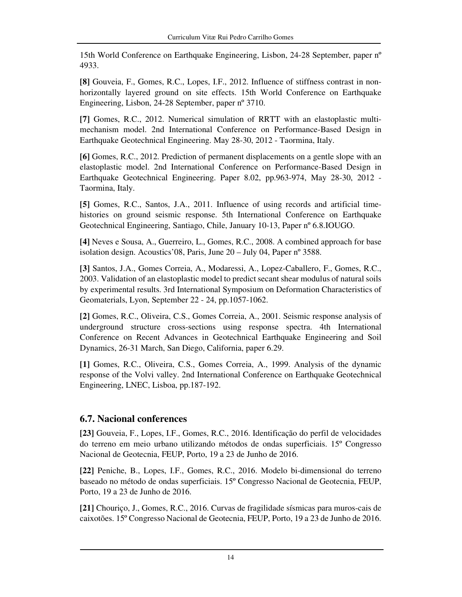15th World Conference on Earthquake Engineering, Lisbon, 24-28 September, paper nº 4933.

**[8]** Gouveia, F., Gomes, R.C., Lopes, I.F., 2012. Influence of stiffness contrast in nonhorizontally layered ground on site effects. 15th World Conference on Earthquake Engineering, Lisbon, 24-28 September, paper nº 3710.

**[7]** Gomes, R.C., 2012. Numerical simulation of RRTT with an elastoplastic multimechanism model. 2nd International Conference on Performance-Based Design in Earthquake Geotechnical Engineering. May 28-30, 2012 - Taormina, Italy.

**[6]** Gomes, R.C., 2012. Prediction of permanent displacements on a gentle slope with an elastoplastic model. 2nd International Conference on Performance-Based Design in Earthquake Geotechnical Engineering. Paper 8.02, pp.963-974, May 28-30, 2012 - Taormina, Italy.

**[5]** Gomes, R.C., Santos, J.A., 2011. Influence of using records and artificial timehistories on ground seismic response. 5th International Conference on Earthquake Geotechnical Engineering, Santiago, Chile, January 10-13, Paper nº 6.8.IOUGO.

**[4]** Neves e Sousa, A., Guerreiro, L., Gomes, R.C., 2008. A combined approach for base isolation design. Acoustics'08, Paris, June 20 – July 04, Paper nº 3588.

**[3]** Santos, J.A., Gomes Correia, A., Modaressi, A., Lopez-Caballero, F., Gomes, R.C., 2003. Validation of an elastoplastic model to predict secant shear modulus of natural soils by experimental results. 3rd International Symposium on Deformation Characteristics of Geomaterials, Lyon, September 22 - 24, pp.1057-1062.

**[2]** Gomes, R.C., Oliveira, C.S., Gomes Correia, A., 2001. Seismic response analysis of underground structure cross-sections using response spectra. 4th International Conference on Recent Advances in Geotechnical Earthquake Engineering and Soil Dynamics, 26-31 March, San Diego, California, paper 6.29.

**[1]** Gomes, R.C., Oliveira, C.S., Gomes Correia, A., 1999. Analysis of the dynamic response of the Volvi valley. 2nd International Conference on Earthquake Geotechnical Engineering, LNEC, Lisboa, pp.187-192.

## **6.7. Nacional conferences**

**[23]** Gouveia, F., Lopes, I.F., Gomes, R.C., 2016. Identificação do perfil de velocidades do terreno em meio urbano utilizando métodos de ondas superficiais. 15º Congresso Nacional de Geotecnia, FEUP, Porto, 19 a 23 de Junho de 2016.

**[22]** Peniche, B., Lopes, I.F., Gomes, R.C., 2016. Modelo bi-dimensional do terreno baseado no método de ondas superficiais. 15º Congresso Nacional de Geotecnia, FEUP, Porto, 19 a 23 de Junho de 2016.

**[21]** Chouriço, J., Gomes, R.C., 2016. Curvas de fragilidade sísmicas para muros-cais de caixotões. 15º Congresso Nacional de Geotecnia, FEUP, Porto, 19 a 23 de Junho de 2016.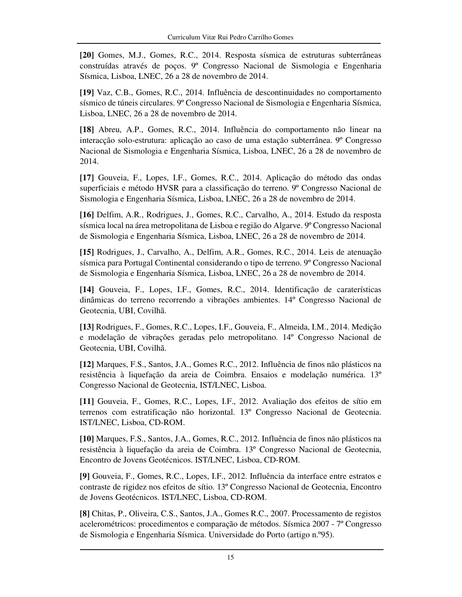**[20]** Gomes, M.J., Gomes, R.C., 2014. Resposta sísmica de estruturas subterrâneas construídas através de poços. 9º Congresso Nacional de Sismologia e Engenharia Sísmica, Lisboa, LNEC, 26 a 28 de novembro de 2014.

**[19]** Vaz, C.B., Gomes, R.C., 2014. Influência de descontinuidades no comportamento sísmico de túneis circulares. 9º Congresso Nacional de Sismologia e Engenharia Sísmica, Lisboa, LNEC, 26 a 28 de novembro de 2014.

**[18]** Abreu, A.P., Gomes, R.C., 2014. Influência do comportamento não linear na interacção solo-estrutura: aplicação ao caso de uma estação subterrânea. 9º Congresso Nacional de Sismologia e Engenharia Sísmica, Lisboa, LNEC, 26 a 28 de novembro de 2014.

**[17]** Gouveia, F., Lopes, I.F., Gomes, R.C., 2014. Aplicação do método das ondas superficiais e método HVSR para a classificação do terreno. 9º Congresso Nacional de Sismologia e Engenharia Sísmica, Lisboa, LNEC, 26 a 28 de novembro de 2014.

**[16]** Delfim, A.R., Rodrigues, J., Gomes, R.C., Carvalho, A., 2014. Estudo da resposta sísmica local na área metropolitana de Lisboa e região do Algarve. 9º Congresso Nacional de Sismologia e Engenharia Sísmica, Lisboa, LNEC, 26 a 28 de novembro de 2014.

**[15]** Rodrigues, J., Carvalho, A., Delfim, A.R., Gomes, R.C., 2014. Leis de atenuação sísmica para Portugal Continental considerando o tipo de terreno. 9º Congresso Nacional de Sismologia e Engenharia Sísmica, Lisboa, LNEC, 26 a 28 de novembro de 2014.

**[14]** Gouveia, F., Lopes, I.F., Gomes, R.C., 2014. Identificação de caraterísticas dinâmicas do terreno recorrendo a vibrações ambientes. 14º Congresso Nacional de Geotecnia, UBI, Covilhã.

**[13]** Rodrigues, F., Gomes, R.C., Lopes, I.F., Gouveia, F., Almeida, I.M., 2014. Medição e modelação de vibrações geradas pelo metropolitano. 14º Congresso Nacional de Geotecnia, UBI, Covilhã.

**[12]** Marques, F.S., Santos, J.A., Gomes R.C., 2012. Influência de finos não plásticos na resistência à liquefação da areia de Coimbra. Ensaios e modelação numérica. 13º Congresso Nacional de Geotecnia, IST/LNEC, Lisboa.

**[11]** Gouveia, F., Gomes, R.C., Lopes, I.F., 2012. Avaliação dos efeitos de sítio em terrenos com estratificação não horizontal. 13º Congresso Nacional de Geotecnia. IST/LNEC, Lisboa, CD-ROM.

**[10]** Marques, F.S., Santos, J.A., Gomes, R.C., 2012. Influência de finos não plásticos na resistência à liquefação da areia de Coimbra. 13º Congresso Nacional de Geotecnia, Encontro de Jovens Geotécnicos. IST/LNEC, Lisboa, CD-ROM.

**[9]** Gouveia, F., Gomes, R.C., Lopes, I.F., 2012. Influência da interface entre estratos e contraste de rigidez nos efeitos de sítio. 13º Congresso Nacional de Geotecnia, Encontro de Jovens Geotécnicos. IST/LNEC, Lisboa, CD-ROM.

**[8]** Chitas, P., Oliveira, C.S., Santos, J.A., Gomes R.C., 2007. Processamento de registos acelerométricos: procedimentos e comparação de métodos. Sísmica 2007 - 7º Congresso de Sismologia e Engenharia Sísmica. Universidade do Porto (artigo n.º95).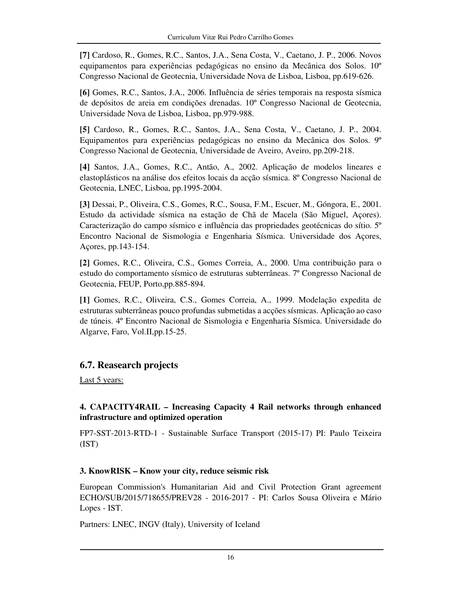**[7]** Cardoso, R., Gomes, R.C., Santos, J.A., Sena Costa, V., Caetano, J. P., 2006. Novos equipamentos para experiências pedagógicas no ensino da Mecânica dos Solos. 10º Congresso Nacional de Geotecnia, Universidade Nova de Lisboa, Lisboa, pp.619-626.

**[6]** Gomes, R.C., Santos, J.A., 2006. Influência de séries temporais na resposta sísmica de depósitos de areia em condições drenadas. 10º Congresso Nacional de Geotecnia, Universidade Nova de Lisboa, Lisboa, pp.979-988.

**[5]** Cardoso, R., Gomes, R.C., Santos, J.A., Sena Costa, V., Caetano, J. P., 2004. Equipamentos para experiências pedagógicas no ensino da Mecânica dos Solos. 9º Congresso Nacional de Geotecnia, Universidade de Aveiro, Aveiro, pp.209-218.

**[4]** Santos, J.A., Gomes, R.C., Antão, A., 2002. Aplicação de modelos lineares e elastoplásticos na análise dos efeitos locais da acção sísmica. 8º Congresso Nacional de Geotecnia, LNEC, Lisboa, pp.1995-2004.

**[3]** Dessai, P., Oliveira, C.S., Gomes, R.C., Sousa, F.M., Escuer, M., Góngora, E., 2001. Estudo da actividade sísmica na estação de Chã de Macela (São Miguel, Açores). Caracterização do campo sísmico e influência das propriedades geotécnicas do sítio. 5º Encontro Nacional de Sismologia e Engenharia Sísmica. Universidade dos Açores, Açores, pp.143-154.

**[2]** Gomes, R.C., Oliveira, C.S., Gomes Correia, A., 2000. Uma contribuição para o estudo do comportamento sísmico de estruturas subterrâneas. 7º Congresso Nacional de Geotecnia, FEUP, Porto,pp.885-894.

**[1]** Gomes, R.C., Oliveira, C.S., Gomes Correia, A., 1999. Modelação expedita de estruturas subterrâneas pouco profundas submetidas a acções sísmicas. Aplicação ao caso de túneis. 4º Encontro Nacional de Sismologia e Engenharia Sísmica. Universidade do Algarve, Faro, Vol.II,pp.15-25.

#### **6.7. Reasearch projects**

Last 5 years:

#### **4. CAPACITY4RAIL – Increasing Capacity 4 Rail networks through enhanced infrastructure and optimized operation**

FP7-SST-2013-RTD-1 - Sustainable Surface Transport (2015-17) PI: Paulo Teixeira (IST)

#### **3. KnowRISK – Know your city, reduce seismic risk**

European Commission's Humanitarian Aid and Civil Protection Grant agreement ECHO/SUB/2015/718655/PREV28 - 2016-2017 - PI: Carlos Sousa Oliveira e Mário Lopes - IST.

Partners: LNEC, INGV (Italy), University of Iceland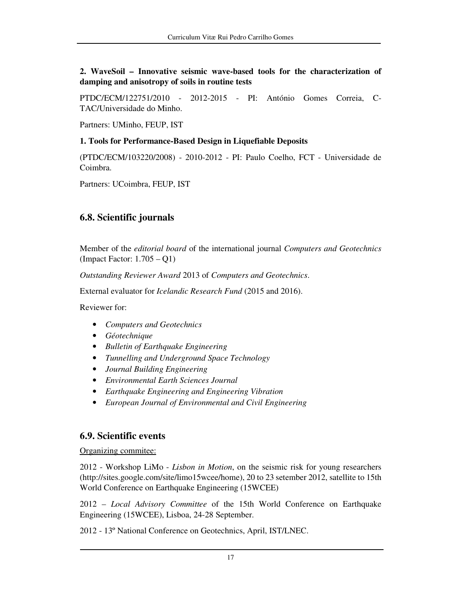**2. WaveSoil – Innovative seismic wave-based tools for the characterization of damping and anisotropy of soils in routine tests** 

PTDC/ECM/122751/2010 - 2012-2015 - PI: António Gomes Correia, C-TAC/Universidade do Minho.

Partners: UMinho, FEUP, IST

#### **1. Tools for Performance-Based Design in Liquefiable Deposits**

(PTDC/ECM/103220/2008) - 2010-2012 - PI: Paulo Coelho, FCT - Universidade de Coimbra.

Partners: UCoimbra, FEUP, IST

## **6.8. Scientific journals**

Member of the *editorial board* of the international journal *Computers and Geotechnics* (Impact Factor: 1.705 – Q1)

*Outstanding Reviewer Award* 2013 of *Computers and Geotechnics*.

External evaluator for *Icelandic Research Fund* (2015 and 2016).

Reviewer for:

- *Computers and Geotechnics*
- *Géotechnique*
- *Bulletin of Earthquake Engineering*
- *Tunnelling and Underground Space Technology*
- *Journal Building Engineering*
- *Environmental Earth Sciences Journal*
- *Earthquake Engineering and Engineering Vibration*
- *European Journal of Environmental and Civil Engineering*

#### **6.9. Scientific events**

Organizing commitee:

2012 - Workshop LiMo - *Lisbon in Motion*, on the seismic risk for young researchers (http://sites.google.com/site/limo15wcee/home), 20 to 23 setember 2012, satellite to 15th World Conference on Earthquake Engineering (15WCEE)

2012 – *Local Advisory Committee* of the 15th World Conference on Earthquake Engineering (15WCEE), Lisboa, 24-28 September.

2012 - 13º National Conference on Geotechnics, April, IST/LNEC.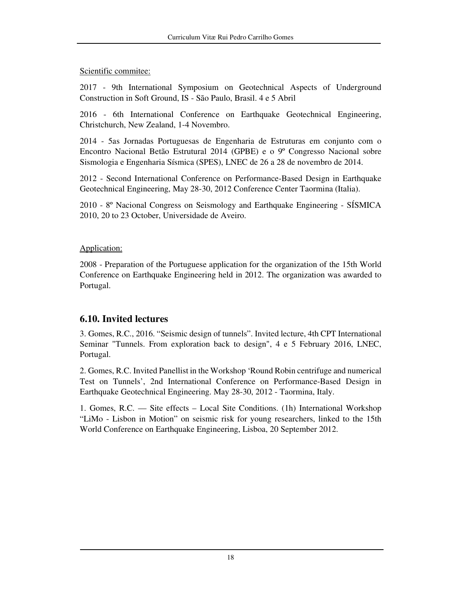#### Scientific commitee:

2017 - 9th International Symposium on Geotechnical Aspects of Underground Construction in Soft Ground, IS - São Paulo, Brasil. 4 e 5 Abril

2016 - 6th International Conference on Earthquake Geotechnical Engineering, Christchurch, New Zealand, 1-4 Novembro.

2014 - 5as Jornadas Portuguesas de Engenharia de Estruturas em conjunto com o Encontro Nacional Betão Estrutural 2014 (GPBE) e o 9º Congresso Nacional sobre Sismologia e Engenharia Sísmica (SPES), LNEC de 26 a 28 de novembro de 2014.

2012 - Second International Conference on Performance-Based Design in Earthquake Geotechnical Engineering, May 28-30, 2012 Conference Center Taormina (Italia).

2010 - 8º Nacional Congress on Seismology and Earthquake Engineering - SÍSMICA 2010, 20 to 23 October, Universidade de Aveiro.

#### Application:

2008 - Preparation of the Portuguese application for the organization of the 15th World Conference on Earthquake Engineering held in 2012. The organization was awarded to Portugal.

## **6.10. Invited lectures**

3. Gomes, R.C., 2016. "Seismic design of tunnels". Invited lecture, 4th CPT International Seminar "Tunnels. From exploration back to design", 4 e 5 February 2016, LNEC, Portugal.

2. Gomes, R.C. Invited Panellist in the Workshop 'Round Robin centrifuge and numerical Test on Tunnels', 2nd International Conference on Performance-Based Design in Earthquake Geotechnical Engineering. May 28-30, 2012 - Taormina, Italy.

1. Gomes, R.C. — Site effects – Local Site Conditions. (1h) International Workshop "LiMo - Lisbon in Motion" on seismic risk for young researchers, linked to the 15th World Conference on Earthquake Engineering, Lisboa, 20 September 2012.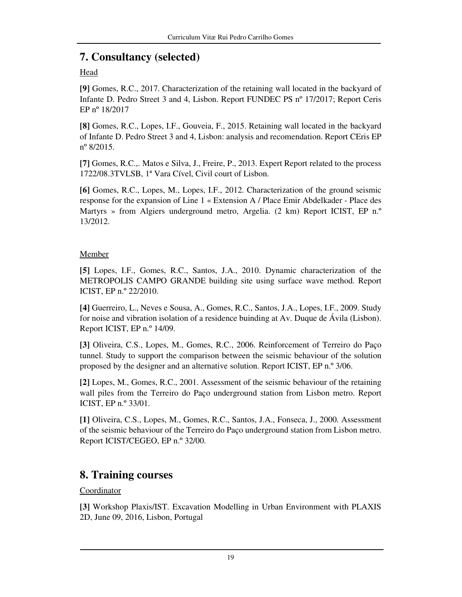# **7. Consultancy (selected)**

#### Head

**[9]** Gomes, R.C., 2017. Characterization of the retaining wall located in the backyard of Infante D. Pedro Street 3 and 4, Lisbon. Report FUNDEC PS nº 17/2017; Report Ceris EP nº 18/2017

**[8]** Gomes, R.C., Lopes, I.F., Gouveia, F., 2015. Retaining wall located in the backyard of Infante D. Pedro Street 3 and 4, Lisbon: analysis and recomendation. Report CEris EP nº 8/2015.

**[7]** Gomes, R.C.,. Matos e Silva, J., Freire, P., 2013. Expert Report related to the process 1722/08.3TVLSB, 1ª Vara Cível, Civil court of Lisbon.

**[6]** Gomes, R.C., Lopes, M., Lopes, I.F., 2012. Characterization of the ground seismic response for the expansion of Line 1 « Extension A / Place Emir Abdelkader - Place des Martyrs » from Algiers underground metro, Argelia. (2 km) Report ICIST, EP n.º 13/2012.

#### Member

**[5]** Lopes, I.F., Gomes, R.C., Santos, J.A., 2010. Dynamic characterization of the METROPOLIS CAMPO GRANDE building site using surface wave method. Report ICIST, EP n.º 22/2010.

**[4]** Guerreiro, L., Neves e Sousa, A., Gomes, R.C., Santos, J.A., Lopes, I.F., 2009. Study for noise and vibration isolation of a residence buinding at Av. Duque de Ávila (Lisbon). Report ICIST, EP n.º 14/09.

**[3]** Oliveira, C.S., Lopes, M., Gomes, R.C., 2006. Reinforcement of Terreiro do Paço tunnel. Study to support the comparison between the seismic behaviour of the solution proposed by the designer and an alternative solution. Report ICIST, EP n.º 3/06.

**[2]** Lopes, M., Gomes, R.C., 2001. Assessment of the seismic behaviour of the retaining wall piles from the Terreiro do Paço underground station from Lisbon metro. Report ICIST, EP n.º 33/01.

**[1]** Oliveira, C.S., Lopes, M., Gomes, R.C., Santos, J.A., Fonseca, J., 2000. Assessment of the seismic behaviour of the Terreiro do Paço underground station from Lisbon metro. Report ICIST/CEGEO, EP n.º 32/00.

# **8. Training courses**

#### Coordinator

**[3]** Workshop Plaxis/IST. Excavation Modelling in Urban Environment with PLAXIS 2D, June 09, 2016, Lisbon, Portugal